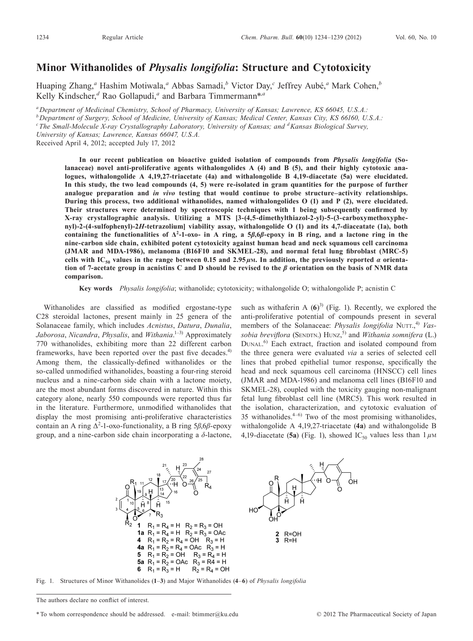## **Minor Withanolides of** *Physalis longifolia***: Structure and Cytotoxicity**

Huaping Zhang,<sup>*a*</sup> Hashim Motiwala,<sup>*a*</sup> Abbas Samadi,<sup>*b*</sup> Victor Day,<sup>*c*</sup> Jeffrey Aubé,<sup>*a*</sup> Mark Cohen,<sup>*b*</sup> Kelly Kindscher, *<sup>d</sup>* Rao Gollapudi, *<sup>a</sup>* and Barbara Timmermann\*,*<sup>a</sup>*

*aDepartment of Medicinal Chemistry, School of Pharmacy, University of Kansas; Lawrence, KS 66045, U.S.A.:*

*bDepartment of Surgery, School of Medicine, University of Kansas; Medical Center, Kansas City, KS 66160, U.S.A.:*

*cThe Small-Molecule X-ray Crystallography Laboratory, University of Kansas; and dKansas Biological Survey,*

*University of Kansas; Lawrence, Kansas 66047, U.S.A.*

Received April 4, 2012; accepted July 17, 2012

**In our recent publication on bioactive guided isolation of compounds from** *Physalis longifolia* **(Solanaceae) novel anti-proliferative agents withalongolides A (4) and B (5), and their highly cytotoxic analogues, withalongolide A 4,19,27-triacetate (4a) and withalongolide B 4,19-diacetate (5a) were elucidated.** In this study, the two lead compounds (4, 5) were re-isolated in gram quantities for the purpose of further **analogue preparation and** *in vivo* **testing that would continue to probe structure–activity relationships. During this process, two additional withanolides, named withalongolides O (1) and P (2), were elucidated. Their structures were determined by spectroscopic techniques with 1 being subsequently confirmed by X-ray crystallographic analysis. Utilizing a MTS [3-(4,5-dimethylthiazol-2-yl)-5-(3-carboxymethoxyphenyl)-2-(4-sulfophenyl)-2***H***-tetrazolium] viability assay, withalongolide O (1) and its 4,7-diaceatate (1a), both** containing the functionalities of  $\Delta^2$ -1-oxo- in A ring, a 5 $\beta$ ,  $6\beta$ -epoxy in B ring, and a lactone ring in the **nine-carbon side chain, exhibited potent cytotoxicity against human head and neck squamous cell carcinoma (JMAR and MDA-1986), melanoma (B16F10 and SKMEL-28), and normal fetal lung fibroblast (MRC-5)** cells with IC<sub>50</sub> values in the range between 0.15 and 2.95  $\mu$ M. In addition, the previously reported  $\alpha$  orientation of 7-acetate group in acnistins C and D should be revised to the  $\beta$  orientation on the basis of NMR data **comparison.**

**Key words** *Physalis longifolia*; withanolide; cytotoxicity; withalongolide O; withalongolide P; acnistin C

Withanolides are classified as modified ergostane-type C28 steroidal lactones, present mainly in 25 genera of the Solanaceae family, which includes *Acnistus*, *Datura*, *Dunalia*, *Jaborosa*, *Nicandra*, *Physalis*, and *Withania*. 1–3) Approximately 770 withanolides, exhibiting more than 22 different carbon frameworks, have been reported over the past five decades.<sup>4)</sup> Among them, the classically-defined withanolides or the so-called unmodified withanolides, boasting a four-ring steroid nucleus and a nine-carbon side chain with a lactone moiety, are the most abundant forms discovered in nature. Within this category alone, nearly 550 compounds were reported thus far in the literature. Furthermore, unmodified withanolides that display the most promising anti-proliferative characteristics contain an A ring  $Δ^2$ -1-oxo-functionality, a B ring 5*β*,6*β*-epoxy group, and a nine-carbon side chain incorporating a *δ*-lactone, such as withaferin A  $(6)^3$  (Fig. 1). Recently, we explored the anti-proliferative potential of compounds present in several members of the Solanaceae: *Physalis longifolia* NUTT., 4) *Vassobia breviflora* (SENDTN.) HUNZ, 5) and *Withania somnifera* (L.) DUNAL. 6) Each extract, fraction and isolated compound from the three genera were evaluated *via* a series of selected cell lines that probed epithelial tumor response, specifically the head and neck squamous cell carcinoma (HNSCC) cell lines (JMAR and MDA-1986) and melanoma cell lines (B16F10 and SKMEL-28), coupled with the toxicity gauging non-malignant fetal lung fibroblast cell line (MRC5). This work resulted in the isolation, characterization, and cytotoxic evaluation of 35 withanolides. $4-6$  Two of the most promising withanolides, withalongolide A 4,19,27-triacetate (**4a**) and withalongolide B 4,19-diacetate (5a) (Fig. 1), showed IC<sub>50</sub> values less than  $1 \mu$ M



Fig. 1. Structures of Minor Withanolides (**1**–**3**) and Major Withanolides (**4**–**6**) of *Physalis longifolia*

The authors declare no conflict of interest.

<sup>\*</sup>To whom correspondence should be addressed. e-mail: btimmer@ku.edu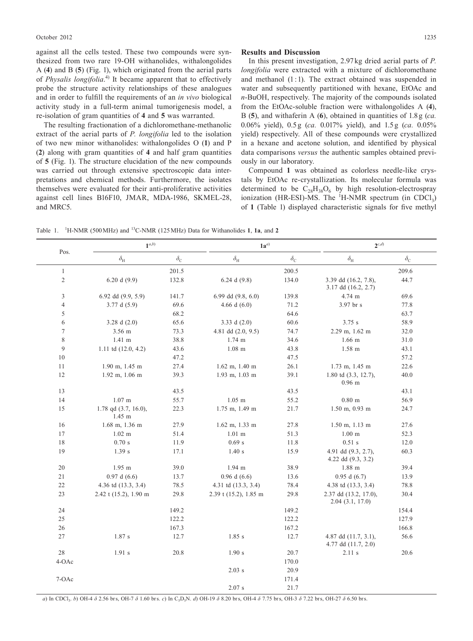against all the cells tested. These two compounds were synthesized from two rare 19-OH withanolides, withalongolides A (**4**) and B (**5**) (Fig. 1), which originated from the aerial parts of *Physalis longifolia*. 4) It became apparent that to effectively probe the structure activity relationships of these analogues and in order to fulfill the requirements of an *in vivo* biological activity study in a full-term animal tumorigenesis model, a re-isolation of gram quantities of **4** and **5** was warranted.

The resulting fractionation of a dichloromethane-methanolic extract of the aerial parts of *P. longifolia* led to the isolation of two new minor withanolides: withalongolides O (**1**) and P (**2**) along with gram quantities of **4** and half gram quantities of **5** (Fig. 1). The structure elucidation of the new compounds was carried out through extensive spectroscopic data interpretations and chemical methods. Furthermore, the isolates themselves were evaluated for their anti-proliferative activities against cell lines B16F10, JMAR, MDA-1986, SKMEL-28, and MRC5.

## **Results and Discussion**

In this present investigation, 2.97kg dried aerial parts of *P. longifolia* were extracted with a mixture of dichloromethane and methanol (1:1). The extract obtained was suspended in water and subsequently partitioned with hexane, EtOAc and *n*-BuOH, respectively. The majority of the compounds isolated from the EtOAc-soluble fraction were withalongolides A (**4**), B (**5**), and withaferin A (**6**), obtained in quantities of 1.8g (*ca.* 0.06% yield), 0.5g (*ca.* 0.017% yield), and 1.5g (*ca.* 0.05% yield) respectively. All of these compounds were crystallized in a hexane and acetone solution, and identified by physical data comparisons *versus* the authentic samples obtained previously in our laboratory.

Compound **1** was obtained as colorless needle-like crystals by EtOAc re-crystallization. Its molecular formula was determined to be  $C_{28}H_{38}O_6$  by high resolution-electrospray ionization (HR-ESI)-MS. The  ${}^{1}$ H-NMR spectrum (in CDCl<sub>3</sub>) of **1** (Table 1) displayed characteristic signals for five methyl

Table 1. <sup>1</sup> H-NMR (500MHz) and <sup>13</sup> C-NMR (125MHz) Data for Withanolides **1**, **1a**, and **2**

| Pos.             | $\mathbf{1}^{a,b)}$                 |                  | $1a^{a}$                                                                                                                                |                  | $2^{c,d}$                                       |                  |
|------------------|-------------------------------------|------------------|-----------------------------------------------------------------------------------------------------------------------------------------|------------------|-------------------------------------------------|------------------|
|                  | $\delta_{\rm H}$                    | $\delta_{\rm C}$ | $\delta_{\rm H}$                                                                                                                        | $\delta_{\rm C}$ | $\delta_{\rm H}$                                | $\delta_{\rm C}$ |
| $\mathbf{1}$     |                                     | 201.5            |                                                                                                                                         | 200.5            |                                                 | 209.6            |
| $\overline{c}$   | 6.20 d $(9.9)$                      | 132.8            | 6.24 d $(9.8)$                                                                                                                          | 134.0            | 3.39 dd (16.2, 7.8),<br>$3.17$ dd $(16.2, 2.7)$ | 44.7             |
| 3                | 6.92 dd (9.9, 5.9)                  | 141.7            | 6.99 dd $(9.8, 6.0)$                                                                                                                    | 139.8            | 4.74 m                                          | 69.6             |
| $\overline{4}$   | 3.77 d $(5.9)$                      | 69.6             | 4.66 d $(6.0)$                                                                                                                          | 71.2             | 3.97 br s                                       | 77.8             |
| 5                |                                     | 68.2             |                                                                                                                                         | 64.6             |                                                 | 63.7             |
| 6                | 3.28 d $(2.0)$                      | 65.6             | 3.33 d $(2.0)$                                                                                                                          | 60.6             | 3.75 s                                          | 58.9             |
| $\boldsymbol{7}$ | 3.56 m                              | 73.3             | 4.81 dd $(2.0, 9.5)$                                                                                                                    | 74.7             | 2.29 m, 1.62 m                                  | 32.0             |
| $\,$ 8 $\,$      | $1.41 \text{ m}$                    | 38.8             | $1.74 \; m$                                                                                                                             | 34.6             | $1.66$ m                                        | 31.0             |
| $\boldsymbol{9}$ | 1.11 td $(12.0, 4.2)$               | 43.6             | $1.08$ m                                                                                                                                | 43.8             | 1.58 m                                          | 43.1             |
| 10               |                                     | 47.2             |                                                                                                                                         | 47.5             |                                                 | 57.2             |
| 11               | $1.90$ m, $1.45$ m                  | 27.4             | $1.62$ m, $1.40$ m                                                                                                                      | 26.1             | $1.73$ m, $1.45$ m                              | 22.6             |
| 12               | $1.92$ m, $1.06$ m                  | 39.3             | $1.93$ m, $1.03$ m                                                                                                                      | 39.1             | 1.80 td (3.3, 12.7),<br>$0.96$ m                | 40.0             |
| 13               |                                     | 43.5             |                                                                                                                                         | 43.5             |                                                 | 43.1             |
| 14               | $1.07 \text{ m}$                    | 55.7             | $1.05$ m                                                                                                                                | 55.2             | $0.80$ m                                        | 56.9             |
| 15               | 1.78 qd $(3.7, 16.0)$ ,<br>$1.45$ m | 22.3             | $1.75$ m, $1.49$ m                                                                                                                      | 21.7             | $1.50$ m, $0.93$ m                              | 24.7             |
| 16               | $1.68$ m, $1.36$ m                  | 27.9             | $1.62$ m, $1.33$ m                                                                                                                      | 27.8             | $1.50$ m, $1.13$ m                              | 27.6             |
| 17               | $1.02$ m                            | 51.4             | $1.01$ m                                                                                                                                | 51.3             | 1.00 <sub>m</sub>                               | 52.3             |
| 18               | 0.70 s                              | 11.9             | 0.69 s                                                                                                                                  | 11.8             | $0.51$ s                                        | 12.0             |
| 19               | 1.39 s                              | 17.1             | 1.40 s                                                                                                                                  | 15.9             | 4.91 dd (9.3, 2.7),<br>4.22 dd $(9.3, 3.2)$     | 60.3             |
| 20               | $1.95$ m                            | 39.0             | 1.94 m                                                                                                                                  | 38.9             | 1.88 m                                          | 39.4             |
| 21               | 0.97 d (6.6)                        | 13.7             | $0.96$ d $(6.6)$                                                                                                                        | 13.6             | 0.95 d(6.7)                                     | 13.9             |
| $22\,$           | 4.36 td (13.3, 3.4)                 | 78.5             | 4.31 td (13.3, 3.4)                                                                                                                     | 78.4             | 4.38 td (13.3, 3.4)                             | 78.8             |
| 23               | 2.42 t $(15.2)$ , 1.90 m            | 29.8             | 2.39 t (15.2), 1.85 m                                                                                                                   | 29.8             | 2.37 dd (13.2, 17.0),<br>2.04(3.1, 17.0)        | 30.4             |
| 24               |                                     | 149.2            |                                                                                                                                         | 149.2            |                                                 | 154.4            |
| 25               |                                     | 122.2            |                                                                                                                                         | 122.2            |                                                 | 127.9            |
| $26\,$           |                                     | 167.3            |                                                                                                                                         | 167.2            |                                                 | 166.8            |
| 27               | 1.87 s                              | 12.7             | $1.85$ s                                                                                                                                | 12.7             | 4.87 dd (11.7, 3.1),<br>4.77 dd (11.7, 2.0)     | 56.6             |
| 28               | 1.91 s                              | 20.8             | 1.90 s                                                                                                                                  | 20.7             | $2.11$ s                                        | 20.6             |
| 4-OAc            |                                     |                  |                                                                                                                                         | 170.0            |                                                 |                  |
|                  |                                     |                  | $2.03$ s                                                                                                                                | 20.9             |                                                 |                  |
| 7-OAc            |                                     |                  |                                                                                                                                         | 171.4            |                                                 |                  |
|                  |                                     |                  | 2.07 s                                                                                                                                  | 21.7             |                                                 |                  |
|                  |                                     |                  | a) In CDCL b) OILA S 2.56 hrs. OIL 7. S 1.60 hrs. a) In C.D.N. Jy OIL10. S 9.20 hrs. OILA S 7.75 hrs. OIL2 S 7.22 hrs. OIL27 S 6.50 hrs |                  |                                                 |                  |

*a*) In CDCl<sub>3</sub>. *b*) OH-4 *δ* 2.56 brs, OH-7 *δ* 1.60 brs. *c*) In C<sub>5</sub>D<sub>5</sub>N. *d*) OH-19 *δ* 8.20 brs, OH-4 *δ* 7.75 brs, OH-3 *δ* 7.22 brs, OH-27 *δ* 6.50 brs.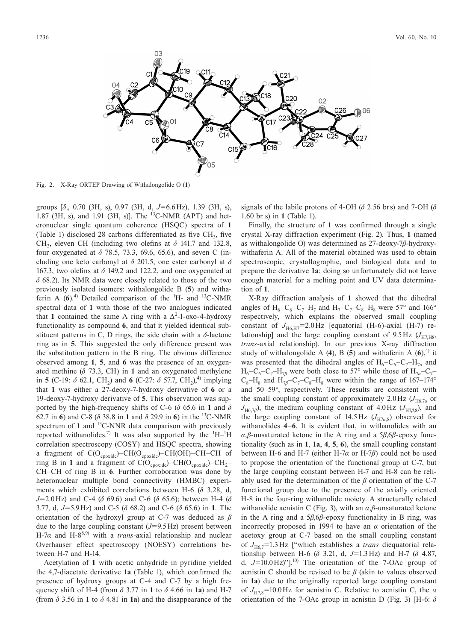

Fig. 2. X-Ray ORTEP Drawing of Withalongolide O (**1**)

groups  $[\delta_{H}$  0.70 (3H, s), 0.97 (3H, d, J=6.6Hz), 1.39 (3H, s), 1.87 (3H, s), and 1.91 (3H, s)]. The <sup>13</sup>C-NMR (APT) and heteronuclear single quantum coherence (HSQC) spectra of **1** (Table 1) disclosed 28 carbons differentiated as five  $CH<sub>3</sub>$ , five CH<sub>2</sub>, eleven CH (including two olefins at  $\delta$  141.7 and 132.8, four oxygenated at *δ* 78.5, 73.3, 69.6, 65.6), and seven C (including one keto carbonyl at *δ* 201.5, one ester carbonyl at *δ* 167.3, two olefins at *δ* 149.2 and 122.2, and one oxygenated at *δ* 68.2). Its NMR data were closely related to those of the two previously isolated isomers: withalongolide B (**5**) and withaferin A  $(6)$ .<sup>4)</sup> Detailed comparison of the <sup>1</sup>H- and <sup>13</sup>C-NMR spectral data of **1** with those of the two analogues indicated that 1 contained the same A ring with a  $\Delta^2$ -1-oxo-4-hydroxy functionality as compound **6**, and that it yielded identical substituent patterns in C, D rings, the side chain with a *δ*-lactone ring as in **5**. This suggested the only difference present was the substitution pattern in the B ring. The obvious difference observed among **1**, **5**, and **6** was the presence of an oxygenated methine  $(\delta$  73.3, CH) in 1 and an oxygenated methylene in **5** (C-19:  $\delta$  62.1, CH<sub>2</sub>) and **6** (C-27:  $\delta$  57.7, CH<sub>2</sub>),<sup>4)</sup> implying that **1** was either a 27-deoxy-7-hydroxy derivative of **6** or a 19-deoxy-7-hydroxy derivative of **5**. This observation was supported by the high-frequency shifts of C-6 ( $\delta$  65.6 in 1 and  $\delta$ 62.7 in **6**) and C-8 (*δ* 38.8 in **1** and *δ* 29.9 in **6**) in the <sup>13</sup> C-NMR spectrum of 1 and <sup>13</sup>C-NNR data comparison with previously reported withanolides.<sup>7)</sup> It was also supported by the  $\mathrm{^{1}H-^{1}H}$ correlation spectroscopy (COSY) and HSQC spectra, showing a fragment of  $C(O_{\text{epoxide}})$ – $CH(O_{\text{epoxide}})$ – $CH(OH)$ – $CH$ – $CH$  of ring B in 1 and a fragment of  $\dot{C}(\dot{O}_{\text{epoxide}}) - \text{CH}(O_{\text{epoxide}}) - \text{CH}_2$ -CH–CH of ring B in **6**. Further corroboration was done by heteronuclear multiple bond connectivity (HMBC) experiments which exhibited correlations between H-6 (*δ* 3.28, d, *J*=2.0Hz) and C-4 (*δ* 69.6) and C-6 (*δ* 65.6); between H-4 (*δ* 3.77, d, *J*=5.9Hz) and C-5 (*δ* 68.2) and C-6 (*δ* 65.6) in **1**. The orientation of the hydroxyl group at C-7 was deduced as *β* due to the large coupling constant (*J*=9.5Hz) present between H-7 $\alpha$  and H-8<sup>8,9)</sup> with a *trans*-axial relationship and nuclear Overhauser effect spectroscopy (NOESY) correlations between H-7 and H-14.

Acetylation of **1** with acetic anhydride in pyridine yielded the 4,7-diacetate derivative **1a** (Table 1), which confirmed the presence of hydroxy groups at C-4 and C-7 by a high frequency shift of H-4 (from *δ* 3.77 in **1** to *δ* 4.66 in **1a**) and H-7 (from *δ* 3.56 in **1** to *δ* 4.81 in **1a**) and the disappearance of the signals of the labile protons of 4-OH (*δ* 2.56 brs) and 7-OH (*δ* 1.60 br s) in **1** (Table 1).

Finally, the structure of **1** was confirmed through a single crystal X-ray diffraction experiment (Fig. 2). Thus, **1** (named as withalongolide O) was determined as 27-deoxy-7*β*-hydroxywithaferin A. All of the material obtained was used to obtain spectroscopic, crystallographic, and biological data and to prepare the derivative **1a**; doing so unfortunately did not leave enough material for a melting point and UV data determination of **1**.

X-Ray diffraction analysis of **1** showed that the dihedral angles of  $H_6-C_6-C_7-H_7$  and  $H_7-C_7-C_8-H_8$  were 57° and 166° respectively, which explains the observed small coupling constant of  $J_{H6,H7}$ =2.0Hz [equatorial (H-6)-axial (H-7) relationship] and the large coupling constant of  $9.5\text{Hz}$  ( $J_{H7H8}$ , *trans*-axial relationship). In our previous X-ray diffraction study of withalongolide A  $(4)$ , B  $(5)$  and withaferin A  $(6)$ ,<sup>4)</sup> it was presented that the dihedral angles of  $H_6-C_6-C_7-H_{7a}$  and  $H_6-\dot{C}_6-C_7-H_{7*\beta}*$  were both close to 57° while those of  $H_{7*\alpha*}-C_7$  $C_8$ –H<sub>8</sub> and H<sub>7β</sub>–C<sub>7</sub>–C<sub>8</sub>–H<sub>8</sub> were within the range of 167–174° and 50–59°, respectively. These results are consistent with the small coupling constant of approximately 2.0Hz  $(J_{H6,7a}$  or  $J_{\text{H6,7}}$ *β*), the medium coupling constant of 4.0Hz ( $J_{\text{H7}}$ *β*,8), and the large coupling constant of 14.5 Hz  $(J_{H7a,8})$  observed for withanolides **4**–**6**. It is evident that, in withanolides with an *α*,*β*-unsaturated ketone in the A ring and a 5*β*,6*β*-epoxy functionality (such as in **1**, **1a**, **4**, **5**, **6**), the small coupling constant between H-6 and H-7 (either H-7*α* or H-7*β*) could not be used to propose the orientation of the functional group at C-7, but the large coupling constant between H-7 and H-8 can be reliably used for the determination of the *β* orientation of the C-7 functional group due to the presence of the axially oriented H-8 in the four-ring withanolide moiety. A structurally related withanolide acnistin C (Fig. 3), with an *α*,*β*-unsaturated ketone in the A ring and a 5*β*,6*β*-epoxy functionality in B ring, was incorrectly proposed in 1994 to have an *α* orientation of the acetoxy group at C-7 based on the small coupling constant of  $J_{H67}$ =1.3 Hz ["which establishes a *trans* diequatorial relationship between H-6 (*δ* 3.21, d, *J*=1.3Hz) and H-7 (*δ* 4.87, d,  $J=10.0 \text{ Hz}$ )"].<sup>10)</sup> The orientation of the 7-OAc group of acnistin C should be revised to be *β* (akin to values observed in **1a**) due to the originally reported large coupling constant of *J*H7,8=10.0Hz for acnistin C. Relative to acnistin C, the *α* orientation of the 7-OAc group in acnistin D (Fig. 3) [H-6: *δ*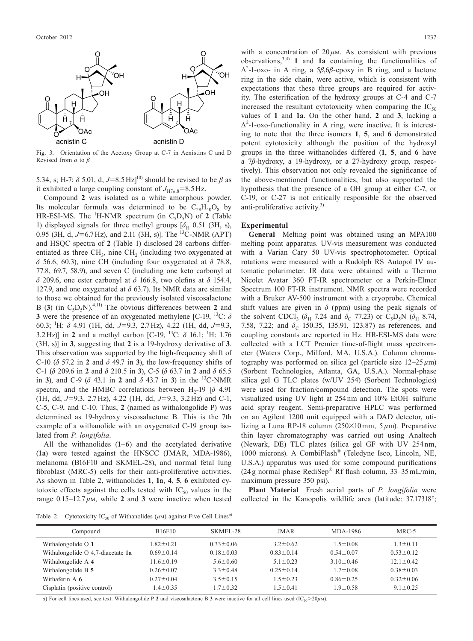

Fig. 3. Orientation of the Acetoxy Group at C-7 in Acnistins C and D Revised from *α* to *β*

5.34, s; H-7:  $\delta$  5.01, d,  $J=8.5 \text{ Hz}$ <sup>10)</sup> should be revised to be  $\beta$  as it exhibited a large coupling constant of  $J_{H7a,8}$ =8.5 Hz.

Compound **2** was isolated as a white amorphous powder. Its molecular formula was determined to be  $C_{28}H_{40}O_8$  by HR-ESI-MS. The  ${}^{1}$ H-NMR spectrum (in  $C_5D_5N$ ) of **2** (Table 1) displayed signals for three methyl groups  $[\delta_H \ 0.51 \ (3H, s)]$ , 0.95 (3H, d, J=6.7Hz), and 2.11 (3H, s)]. The <sup>13</sup>C-NMR (APT) and HSQC spectra of **2** (Table 1) disclosed 28 carbons differentiated as three  $CH_3$ , nine  $CH_2$  (including two oxygenated at *δ* 56.6, 60.3), nine CH (including four oxygenated at *δ* 78.8, 77.8, 69.7, 58.9), and seven C (including one keto carbonyl at *δ* 209.6, one ester carbonyl at *δ* 166.8, two olefins at *δ* 154.4, 127.9, and one oxygenated at *δ* 63.7). Its NMR data are similar to those we obtained for the previously isolated viscosalactone B (3) (in  $C_5D_5N$ ).<sup>4,11)</sup> The obvious differences between 2 and **3** were the presence of an oxygenated methylene [C-19,  $^{13}$ C:  $\delta$ 60.3; <sup>1</sup> H: *δ* 4.91 (1H, dd, *J*=9.3, 2.7Hz), 4.22 (1H, dd, *J*=9.3, 3.2 Hz)] in **2** and a methyl carbon [C-19, <sup>13</sup>C:  $\delta$  16.1; <sup>1</sup>H: 1.76 (3H, s)] in **3**, suggesting that **2** is a 19-hydroxy derivative of **3**. This observation was supported by the high-frequency shift of C-10 (*δ* 57.2 in **2** and *δ* 49.7 in **3**), the low-frequency shifts of C-1 (*δ* 209.6 in **2** and *δ* 210.5 in **3**), C-5 (*δ* 63.7 in **2** and *δ* 65.5 in **3**), and C-9 (*δ* 43.1 in **2** and *δ* 43.7 in **3**) in the <sup>13</sup> C-NMR spectra, and the HMBC correlations between  $H_2$ -19 [ $\delta$  4.91 (1H, dd, *J*=9.3, 2.7Hz), 4.22 (1H, dd, *J*=9.3, 3.2Hz) and C-1, C-5, C-9, and C-10. Thus, **2** (named as withalongolide P) was determined as 19-hydroxy viscosalactone B. This is the 7th example of a withanolide with an oxygenated C-19 group isolated from *P. longifolia*.

All the withanolides (**1**–**6**) and the acetylated derivative (**1a**) were tested against the HNSCC (JMAR, MDA-1986), melanoma (B16F10 and SKMEL-28), and normal fetal lung fibroblast (MRC-5) cells for their anti-proliferative activities. As shown in Table 2, withanolides **1**, **1a**, **4**, **5**, **6** exhibited cytotoxic effects against the cells tested with  $IC_{50}$  values in the range  $0.15-12.7 \mu M$ , while **2** and **3** were inactive when tested

with a concentration of  $20 \mu$ M. As consistent with previous observations, 3,4) **1** and **1a** containing the functionalities of Δ2 -1-oxo- in A ring, a 5*β*,6*β*-epoxy in B ring, and a lactone ring in the side chain, were active, which is consistent with expectations that these three groups are required for activity. The esterification of the hydroxy groups at C-4 and C-7 increased the resultant cytotoxicity when comparing the  $IC_{50}$ values of **1** and **1a**. On the other hand, **2** and **3**, lacking a  $\Delta^2$ -1-oxo-functionality in A ring, were inactive. It is interesting to note that the three isomers **1**, **5**, and **6** demonstrated potent cytotoxicity although the position of the hydroxyl groups in the three withanolides differed (**1**, **5**, and **6** have a 7*β*-hydroxy, a 19-hydroxy, or a 27-hydroxy group, respectively). This observation not only revealed the significance of the above-mentioned functionalities, but also supported the hypothesis that the presence of a OH group at either C-7, or C-19, or C-27 is not critically responsible for the observed anti-proliferative activity. 3)

## **Experimental**

**General** Melting point was obtained using an MPA100 melting point apparatus. UV-vis measurement was conducted with a Varian Cary 50 UV-vis spectrophotometer. Optical rotations were measured with a Rudolph RS Autopol IV automatic polarimeter. IR data were obtained with a Thermo Nicolet Avatar 360 FT-IR spectrometer or a Perkin-Elmer Spectrum 100 FT-IR instrument. NMR spectra were recorded with a Bruker AV-500 instrument with a cryoprobe. Chemical shift values are given in  $\delta$  (ppm) using the peak signals of the solvent CDCl<sub>3</sub> ( $\delta_H$  7.24 and  $\delta_C$  77.23) or C<sub>5</sub>D<sub>5</sub>N ( $\delta_H$  8.74, 7.58, 7.22; and δ<sub>C</sub> 150.35, 135.91, 123.87) as references, and coupling constants are reported in Hz. HR-ESI-MS data were collected with a LCT Premier time-of-flight mass spectrometer (Waters Corp., Milford, MA, U.S.A.). Column chromatography was performed on silica gel (particle size  $12-25 \mu m$ ) (Sorbent Technologies, Atlanta, GA, U.S.A.). Normal-phase silica gel G TLC plates (w/UV 254) (Sorbent Technologies) were used for fraction/compound detection. The spots were visualized using UV light at 254nm and 10% EtOH–sulfuric acid spray reagent. Semi-preparative HPLC was performed on an Agilent 1200 unit equipped with a DAD detector, utilizing a Luna RP-18 column (250×10mm, 5*µ*m). Preparative thin layer chromatography was carried out using Analtech (Newark, DE) TLC plates (silica gel GF with UV 254 nm, 1000 microns). A CombiFlash® (Teledyne Isco, Lincoln, NE, U.S.A.) apparatus was used for some compound purifications (24g normal phase RediSep® Rf flash column,  $33-35$  mL/min, maximum pressure 350 psi).

**Plant Material** Fresh aerial parts of *P. longifolia* were collected in the Kanopolis wildlife area (latitude: 37.17318°;

Table 2. Cytotoxicity  $IC_{50}$  of Withanolides ( $\mu$ M) against Five Cell Lines<sup>*a*</sup>)

| Compound                            | B <sub>16F<sub>10</sub></sub> | SKMEL-28        | <b>JMAR</b>     | MDA-1986        | $MRC-5$         |
|-------------------------------------|-------------------------------|-----------------|-----------------|-----------------|-----------------|
| Withalongolide O 1                  | $1.82 \pm 0.21$               | $0.33 \pm 0.06$ | $3.2 \pm 0.62$  | $1.5 \pm 0.08$  | $1.3 \pm 0.11$  |
| Withalongolide $O$ 4.7-diacetate 1a | $0.69 \pm 0.14$               | $0.18 \pm 0.03$ | $0.83 \pm 0.14$ | $0.54 \pm 0.07$ | $0.53 \pm 0.12$ |
| Withalongolide A 4                  | $11.6 \pm 0.19$               | $5.6 \pm 0.60$  | $5.1 \pm 0.23$  | $3.10 \pm 0.46$ | $12.1 \pm 0.42$ |
| Withalongolide B 5                  | $0.26 \pm 0.07$               | $3.3 \pm 0.48$  | $0.25 \pm 0.14$ | $1.7 \pm 0.08$  | $0.38 \pm 0.03$ |
| Withaferin A 6                      | $0.27 \pm 0.04$               | $3.5 \pm 0.15$  | $1.5 \pm 0.23$  | $0.86 \pm 0.25$ | $0.32 \pm 0.06$ |
| Cisplatin (positive control)        | $1.4 \pm 0.35$                | $1.7 \pm 0.32$  | $1.5 \pm 0.41$  | $1.9 \pm 0.58$  | $9.1 \pm 0.25$  |

*a*) For cell lines used, see text. Withalongolide P 2 and viscosalactone B 3 were inactive for all cell lines used (IC<sub>50</sub>>20*µM*).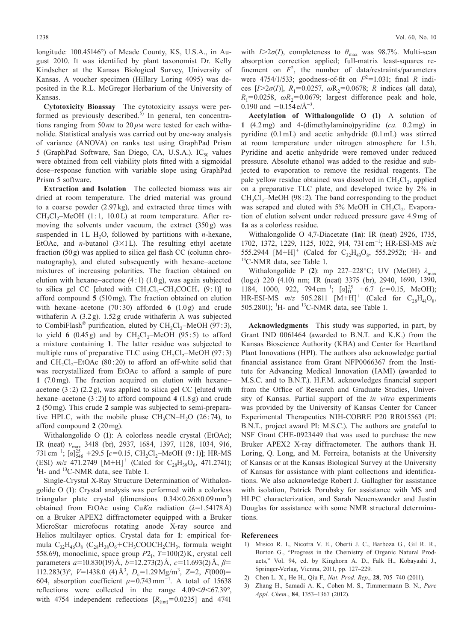longitude: 100.45146°) of Meade County, KS, U.S.A., in August 2010. It was identified by plant taxonomist Dr. Kelly Kindscher at the Kansas Biological Survey, University of Kansas. A voucher specimen (Hillary Loring 4095) was deposited in the R.L. McGregor Herbarium of the University of Kansas.

**Cytotoxicity Bioassay** The cytotoxicity assays were performed as previously described.<sup>5)</sup> In general, ten concentrations ranging from 50  $n$ M to 20  $\mu$ M were tested for each withanolide. Statistical analysis was carried out by one-way analysis of variance (ANOVA) on ranks test using GraphPad Prism 5 (GraphPad Software, San Diego, CA, U.S.A.).  $IC_{50}$  values were obtained from cell viability plots fitted with a sigmoidal dose–response function with variable slope using GraphPad Prism 5 software.

**Extraction and Isolation** The collected biomass was air dried at room temperature. The dried material was ground to a coarse powder (2.97kg), and extracted three times with  $CH_2Cl_2$ –MeOH (1:1, 10.0L) at room temperature. After removing the solvents under vacuum, the extract (350g) was suspended in  $1L H<sub>2</sub>O$ , followed by partitions with *n*-hexane, EtOAc, and *n*-butanol (3×1L). The resulting ethyl acetate fraction (50g) was applied to silica gel flash CC (column chromatography), and eluted subsequently with hexane–acetone mixtures of increasing polarities. The fraction obtained on elution with hexane–acetone  $(4:1)$   $(1.0g)$ , was again subjected to silica gel CC [eluted with  $CH_2Cl_2-CH_3COCH_3$  (9:1)] to afford compound **5** (510mg). The fraction obtained on elution with hexane–acetone (70: 30) afforded **6** (1.0g) and crude withaferin A (3.2g). 1.52g crude withaferin A was subjected to CombiFlash<sup>®</sup> purification, eluted by CH<sub>2</sub>Cl<sub>2</sub>–MeOH (97:3), to yield  $6(0.45g)$  and by  $CH<sub>2</sub>Cl<sub>2</sub>–MeOH (95:5)$  to afford a mixture containing **1**. The latter residue was subjected to multiple runs of preparative TLC using  $CH_2Cl_2$ –MeOH (97:3) and  $CH_2Cl_2$ –EtOAc (80:20) to afford an off-white solid that was recrystallized from EtOAc to afford a sample of pure **1** (7.0mg). The fraction acquired on elution with hexane– acetone  $(3:2)$   $(2.2 g)$ , was applied to silica gel CC [eluted with hexane–acetone (3:2)] to afford compound **4** (1.8g) and crude **2** (50mg). This crude **2** sample was subjected to semi-preparative HPLC, with the mobile phase  $CH_2CN-H_2O$  (26:74), to afford compound **2** (20mg).

Withalongolide O (**1**): A colorless needle crystal (EtOAc); IR (neat) *v*<sub>max</sub> 3418 (br), 2937, 1684, 1397, 1128, 1034, 916, 731 cm<sup>-1</sup>; [*α*]<sup>25</sup><sub>546</sub> +29.5 [*c*=0.15, CH<sub>2</sub>Cl<sub>2</sub>−MeOH (9:1)]; HR-MS (ESI)  $m/z$  471.2749 [M+H]<sup>+</sup> (Calcd for C<sub>28</sub>H<sub>39</sub>O<sub>6</sub>, 471.2741);<br><sup>1</sup>H and <sup>13</sup>C NMP data see Table 1 H- and <sup>13</sup>C-NMR data, see Table 1.

Single-Crystal X-Ray Structure Determination of Withalongolide O (**1**): Crystal analysis was performed with a colorless triangular plate crystal (dimensions  $0.34 \times 0.26 \times 0.09$  mm<sup>3</sup>) obtained from EtOAc using Cu*Kα* radiation (*λ*=1.54178Å) on a Bruker APEX2 diffractometer equipped with a Bruker MicroStar microfocus rotating anode X-ray source and Helios multilayer optics. Crystal data for **1**: empirical formula  $C_{32}H_{46}O_8$  ( $C_{28}H_{38}O_6$ +CH<sub>3</sub>COOCH<sub>2</sub>CH<sub>3</sub>, formula weight 558.69), monoclinic, space group *P*21, *T*=100(2)K, crystal cell parameters *a*=10.830(19)Å, *b*=12.273(2)Å, *c*=11.693(2)Å, *β*=  $112.283(3)$ °,  $V=1438.0$  (4) Å<sup>3</sup>,  $D_c=1.29 \text{ Mg/m}^3$ ,  $Z=2$ ,  $F(000)=$ 604, absorption coefficient  $\mu$ =0.743 mm<sup>-1</sup>. A total of 15638 reflections were collected in the range 4.09<*θ*<67.39°, with 4754 independent reflections  $[R_{\text{(int)}}=0.0235]$  and 4741 with  $I > 2\sigma(I)$ , completeness to  $\theta_{\text{max}}$  was 98.7%. Multi-scan absorption correction applied; full-matrix least-squares refinement on  $F^2$ , the number of data/restraints/parameters were 4754/1/533; goodness-of-fit on  $F^2$ =1.031; final *R* indices  $[I>2\sigma(I)]$ ,  $R_1=0.0257$ ,  $\omega R_2=0.0678$ ; *R* indices (all data),  $R_1=0.0258$ ,  $\omega R_2=0.0679$ ; largest difference peak and hole, 0.190 and  $-0.154 e/\text{\AA}^{-3}$ .

**Acetylation of Withalongolide O (1)** A solution of **1** (4.2mg) and 4-(dimethylamino)pyridine (*ca.* 0.2mg) in pyridine (0.1mL) and acetic anhydride (0.1mL) was stirred at room temperature under nitrogen atmosphere for 1.5 h. Pyridine and acetic anhydride were removed under reduced pressure. Absolute ethanol was added to the residue and subjected to evaporation to remove the residual reagents. The pale yellow residue obtained was dissolved in  $CH_2Cl_2$ , applied on a preparative TLC plate, and developed twice by 2% in  $CH_2Cl_2$ –MeOH (98:2). The band corresponding to the product was scraped and eluted with  $5\%$  MeOH in CH<sub>2</sub>Cl<sub>2</sub>. Evaporation of elution solvent under reduced pressure gave 4.9mg of **1a** as a colorless residue.

Withalongolide O 4,7-Diacetate (**1a**): IR (neat) 2926, 1735, 1702, 1372, 1229, 1125, 1022, 914, 731cm<sup>−</sup><sup>1</sup> ; HR-ESI-MS *m*/*z* 555.2944  $[M+H]^+$  (Calcd for C<sub>32</sub>H<sub>43</sub>O<sub>8</sub>, 555.2952); <sup>1</sup>H- and 13 C-NMR data, see Table 1.

Withalongolide P (**2**): mp 227–228°C; UV (MeOH) *λ*max (log*ε*) 220 (4.10) nm; IR (neat) 3375 (br), 2940, 1690, 1390, 1184, 1000, 922, 794 cm<sup>-1</sup>;  $[\alpha]_D^{25}$  +6.7 (*c*=0.15, MeOH);  $HR-ESI-MS$   $m/z$  505.2811  $[M+H]^+$  (Calcd for  $C_{28}H_{41}O_8$ , 505.2801); <sup>1</sup>H- and <sup>13</sup>C-NMR data, see Table 1.

**Acknowledgments** This study was supported, in part, by Grant IND 0061464 (awarded to B.N.T. and K.K.) from the Kansas Bioscience Authority (KBA) and Center for Heartland Plant Innovations (HPI). The authors also acknowledge partial financial assistance from Grant NFP0066367 from the Institute for Advancing Medical Innovation (IAMI) (awarded to M.S.C. and to B.N.T.). H.F.M. acknowledges financial support from the Office of Research and Graduate Studies, University of Kansas. Partial support of the *in vitro* experiments was provided by the University of Kansas Center for Cancer Experimental Therapeutics NIH-COBRE P20 RR015563 (PI: B.N.T., project award PI: M.S.C.). The authors are grateful to NSF Grant CHE-0923449 that was used to purchase the new Bruker APEX2 X-ray diffractometer. The authors thank H. Loring, Q. Long, and M. Ferreira, botanists at the University of Kansas or at the Kansas Biological Survey at the University of Kansas for assistance with plant collections and identifications. We also acknowledge Robert J. Gallagher for assistance with isolation, Patrick Porubsky for assistance with MS and HLPC characterization, and Sarah Neuenswander and Justin Douglas for assistance with some NMR structural determinations.

## **References**

- 1) Misico R. I., Nicotra V. E., Oberti J. C., [Barboza](http://dx.doi.org/10.1007/978-3-7091-0748-5_3) G., Gil R. R., Burton G., "Progress in the [Chemistry](http://dx.doi.org/10.1007/978-3-7091-0748-5_3) of Organic Natural Products," Vol. 94, ed. by Kinghorn A. D., Falk H., [Kobayashi](http://dx.doi.org/10.1007/978-3-7091-0748-5_3) J., [Springer-Verlag,](http://dx.doi.org/10.1007/978-3-7091-0748-5_3) Vienna, 2011, pp. 127–229.
- 2) Chen L. X., He H., Qiu F., *Nat. Prod. Rep.*, **28**, [705–740](http://dx.doi.org/10.1039/c0np00045k) (2011).
- 3) Zhang H., Samadi A. K., Cohen M. S., [Timmermann](http://dx.doi.org/10.1351/PAC-CON-11-10-08) B. N., *Pure Appl. Chem.*, **84**, [1353–1367](http://dx.doi.org/10.1351/PAC-CON-11-10-08) (2012).